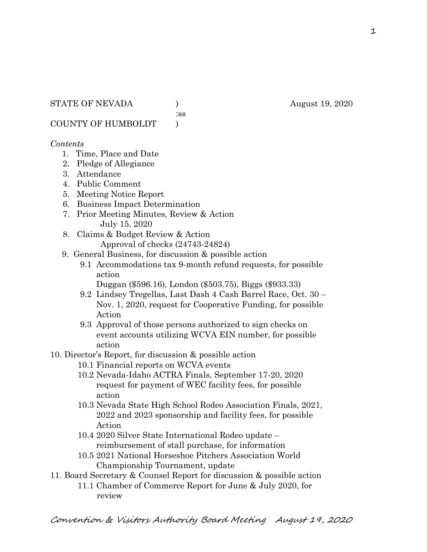:ss

COUNTY OF HUMBOLDT )

### *Contents*

- 1. Time, Place and Date
- 2. Pledge of Allegiance
- 3. Attendance
- 4. Public Comment
- 5. Meeting Notice Report
- 6. Business Impact Determination
- 7. Prior Meeting Minutes, Review & Action July 15, 2020
- 8. Claims & Budget Review & Action
	- Approval of checks (24743-24824)
- 9. General Business, for discussion & possible action
	- 9.1 Accommodations tax 9-month refund requests, for possible action
		- Duggan (\$596.16), London (\$503.75), Biggs (\$933.33)
	- 9.2 Lindsey Tregellas, Last Dash 4 Cash Barrel Race, Oct. 30 Nov. 1, 2020, request for Cooperative Funding, for possible Action
	- 9.3 Approval of those persons authorized to sign checks on event accounts utilizing WCVA EIN number, for possible action
- 10. Director's Report, for discussion & possible action
	- 10.1 Financial reports on WCVA events
	- 10.2 Nevada-Idaho ACTRA Finals, September 17-20, 2020 request for payment of WEC facility fees, for possible action
	- 10.3 Nevada State High School Rodeo Association Finals, 2021, 2022 and 2023 sponsorship and facility fees, for possible Action
	- 10.4 2020 Silver State International Rodeo update reimbursement of stall purchase, for information
	- 10.5 2021 National Horseshoe Pitchers Association World Championship Tournament, update
- 11. Board Secretary & Counsel Report for discussion & possible action
	- 11.1 Chamber of Commerce Report for June & July 2020, for review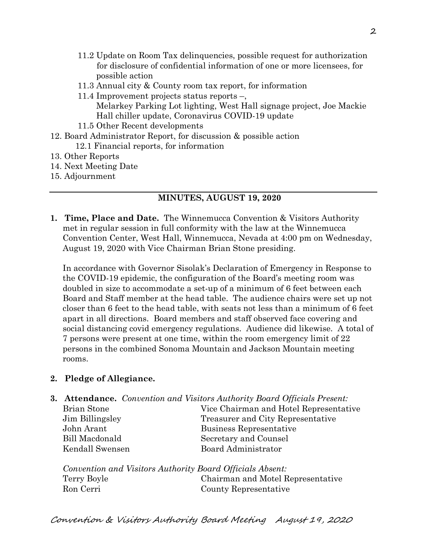- 11.2 Update on Room Tax delinquencies, possible request for authorization for disclosure of confidential information of one or more licensees, for possible action
- 11.3 Annual city & County room tax report, for information
- 11.4 Improvement projects status reports –, Melarkey Parking Lot lighting, West Hall signage project, Joe Mackie Hall chiller update, Coronavirus COVID-19 update
- 11.5 Other Recent developments
- 12. Board Administrator Report, for discussion & possible action 12.1 Financial reports, for information
- 13. Other Reports
- 14. Next Meeting Date
- 15. Adjournment

# **MINUTES, AUGUST 19, 2020**

**1. Time, Place and Date.** The Winnemucca Convention & Visitors Authority met in regular session in full conformity with the law at the Winnemucca Convention Center, West Hall, Winnemucca, Nevada at 4:00 pm on Wednesday, August 19, 2020 with Vice Chairman Brian Stone presiding.

In accordance with Governor Sisolak's Declaration of Emergency in Response to the COVID-19 epidemic, the configuration of the Board's meeting room was doubled in size to accommodate a set-up of a minimum of 6 feet between each Board and Staff member at the head table. The audience chairs were set up not closer than 6 feet to the head table, with seats not less than a minimum of 6 feet apart in all directions. Board members and staff observed face covering and social distancing covid emergency regulations. Audience did likewise. A total of 7 persons were present at one time, within the room emergency limit of 22 persons in the combined Sonoma Mountain and Jackson Mountain meeting rooms.

## **2. Pledge of Allegiance.**

**3. Attendance.** *Convention and Visitors Authority Board Officials Present:*

| Brian Stone     | Vice Chairman and Hotel Representative |  |
|-----------------|----------------------------------------|--|
| Jim Billingsley | Treasurer and City Representative      |  |
| John Arant      | Business Representative                |  |
| Bill Macdonald  | Secretary and Counsel                  |  |
| Kendall Swensen | Board Administrator                    |  |
|                 |                                        |  |

*Convention and Visitors Authority Board Officials Absent:* Terry Boyle Chairman and Motel Representative Ron Cerri County Representative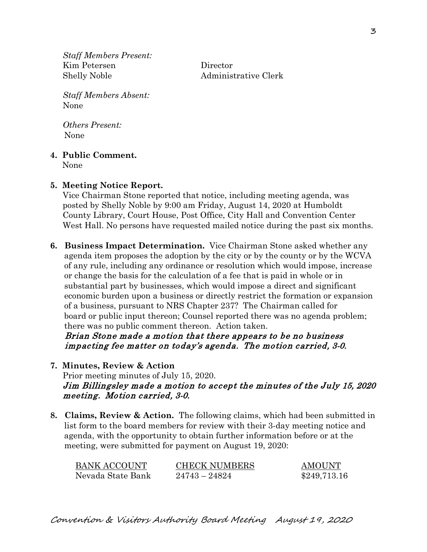*Staff Members Present:* Kim Petersen Director Shelly Noble Administrative Clerk

*Staff Members Absent:* None

*Others Present:* None

### **4. Public Comment.**

None

### **5. Meeting Notice Report.**

Vice Chairman Stone reported that notice, including meeting agenda, was posted by Shelly Noble by 9:00 am Friday, August 14, 2020 at Humboldt County Library, Court House, Post Office, City Hall and Convention Center West Hall. No persons have requested mailed notice during the past six months.

**6. Business Impact Determination.** Vice Chairman Stone asked whether any agenda item proposes the adoption by the city or by the county or by the WCVA of any rule, including any ordinance or resolution which would impose, increase or change the basis for the calculation of a fee that is paid in whole or in substantial part by businesses, which would impose a direct and significant economic burden upon a business or directly restrict the formation or expansion of a business, pursuant to NRS Chapter 237? The Chairman called for board or public input thereon; Counsel reported there was no agenda problem; there was no public comment thereon. Action taken.

 Brian Stone made a motion that there appears to be no business impacting fee matter on today's agenda. The motion carried, 3-0.

**7. Minutes, Review & Action** 

Prior meeting minutes of July 15, 2020. Jim Billingsley made a motion to accept the minutes of the July 15, 2020 meeting. Motion carried, 3-0.

**8. Claims, Review & Action.** The following claims, which had been submitted in list form to the board members for review with their 3-day meeting notice and agenda, with the opportunity to obtain further information before or at the meeting, were submitted for payment on August 19, 2020:

| <b>BANK ACCOUNT</b> | <b>CHECK NUMBERS</b> | <b>AMOUNT</b> |
|---------------------|----------------------|---------------|
| Nevada State Bank   | $24743 - 24824$      | \$249,713.16  |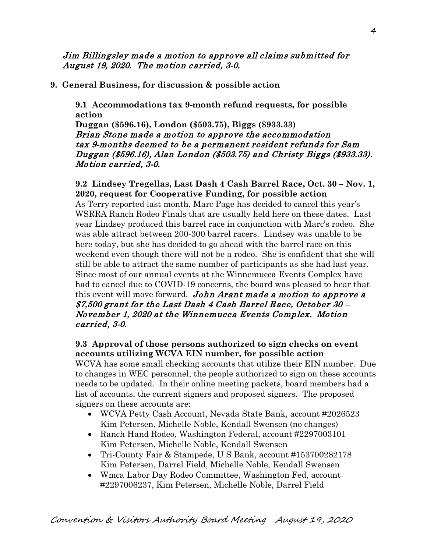Jim Billingsley made a motion to approve all claims submitted for August 19, 2020. The motion carried, 3-0.

**9. General Business, for discussion & possible action**

**9.1 Accommodations tax 9-month refund requests, for possible action**

**Duggan (\$596.16), London (\$503.75), Biggs (\$933.33)** Brian Stone made a motion to approve the accommodation tax 9-months deemed to be a permanent resident refunds for Sam Duggan (\$596.16), Alan London (\$503.75) and Christy Biggs (\$933.33). Motion carried, 3-0.

**9.2 Lindsey Tregellas, Last Dash 4 Cash Barrel Race, Oct. 30 – Nov. 1, 2020, request for Cooperative Funding, for possible action** As Terry reported last month, Marc Page has decided to cancel this year's WSRRA Ranch Rodeo Finals that are usually held here on these dates. Last year Lindsey produced this barrel race in conjunction with Marc's rodeo. She was able attract between 200-300 barrel racers. Lindsey was unable to be here today, but she has decided to go ahead with the barrel race on this weekend even though there will not be a rodeo. She is confident that she will still be able to attract the same number of participants as she had last year. Since most of our annual events at the Winnemucca Events Complex have had to cancel due to COVID-19 concerns, the board was pleased to hear that this event will move forward. John Arant made a motion to approve a \$7,500 grant for the Last Dash 4 Cash Barrel Race, October 30 – November 1, 2020 at the Winnemucca Events Complex. Motion carried, 3-0.

### **9.3 Approval of those persons authorized to sign checks on event accounts utilizing WCVA EIN number, for possible action**

WCVA has some small checking accounts that utilize their EIN number. Due to changes in WEC personnel, the people authorized to sign on these accounts needs to be updated. In their online meeting packets, board members had a list of accounts, the current signers and proposed signers. The proposed signers on these accounts are:

- WCVA Petty Cash Account, Nevada State Bank, account #2026523 Kim Petersen, Michelle Noble, Kendall Swensen (no changes)
- Ranch Hand Rodeo, Washington Federal, account #2297003101 Kim Petersen, Michelle Noble, Kendall Swensen
- Tri-County Fair & Stampede, U S Bank, account #153700282178 Kim Petersen, Darrel Field, Michelle Noble, Kendall Swensen
- Wmca Labor Day Rodeo Committee, Washington Fed, account #2297006237, Kim Petersen, Michelle Noble, Darrel Field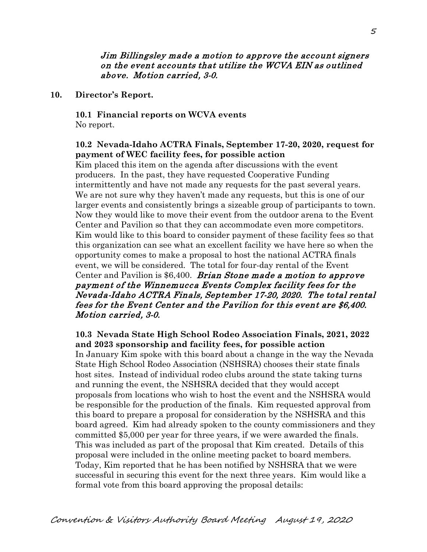#### Jim Billingsley made a motion to approve the account signers on the event accounts that utilize the WCVA EIN as outlined above. Motion carried, 3-0.

#### **10. Director's Report.**

**10.1 Financial reports on WCVA events**  No report.

### **10.2 Nevada-Idaho ACTRA Finals, September 17-20, 2020, request for payment of WEC facility fees, for possible action**

Kim placed this item on the agenda after discussions with the event producers. In the past, they have requested Cooperative Funding intermittently and have not made any requests for the past several years. We are not sure why they haven't made any requests, but this is one of our larger events and consistently brings a sizeable group of participants to town. Now they would like to move their event from the outdoor arena to the Event Center and Pavilion so that they can accommodate even more competitors. Kim would like to this board to consider payment of these facility fees so that this organization can see what an excellent facility we have here so when the opportunity comes to make a proposal to host the national ACTRA finals event, we will be considered. The total for four-day rental of the Event Center and Pavilion is \$6,400. *Brian Stone made a motion to approve* payment of the Winnemucca Events Complex facility fees for the Nevada-Idaho ACTRA Finals, September 17-20, 2020. The total rental fees for the Event Center and the Pavilion for this event are \$6,400. Motion carried, 3-0.

**10.3 Nevada State High School Rodeo Association Finals, 2021, 2022 and 2023 sponsorship and facility fees, for possible action** In January Kim spoke with this board about a change in the way the Nevada State High School Rodeo Association (NSHSRA) chooses their state finals host sites. Instead of individual rodeo clubs around the state taking turns and running the event, the NSHSRA decided that they would accept proposals from locations who wish to host the event and the NSHSRA would be responsible for the production of the finals. Kim requested approval from this board to prepare a proposal for consideration by the NSHSRA and this board agreed. Kim had already spoken to the county commissioners and they committed \$5,000 per year for three years, if we were awarded the finals. This was included as part of the proposal that Kim created. Details of this proposal were included in the online meeting packet to board members. Today, Kim reported that he has been notified by NSHSRA that we were successful in securing this event for the next three years. Kim would like a formal vote from this board approving the proposal details: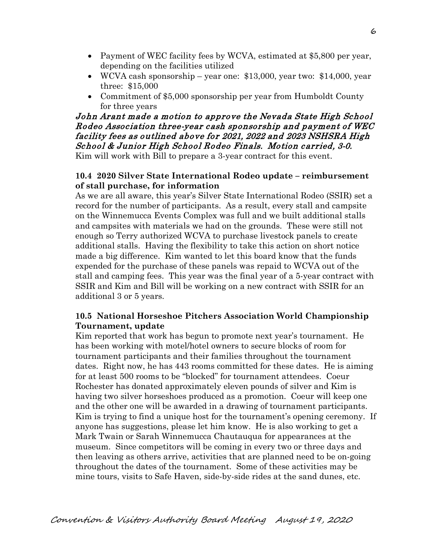- Payment of WEC facility fees by WCVA, estimated at \$5,800 per year, depending on the facilities utilized
- WCVA cash sponsorship year one: \$13,000, year two: \$14,000, year three: \$15,000
- Commitment of \$5,000 sponsorship per year from Humboldt County for three years

# John Arant made a motion to approve the Nevada State High School Rodeo Association three-year cash sponsorship and payment of WEC facility fees as outlined above for 2021, 2022 and 2023 NSHSRA High School & Junior High School Rodeo Finals. Motion carried, 3-0.

Kim will work with Bill to prepare a 3-year contract for this event.

### **10.4 2020 Silver State International Rodeo update – reimbursement of stall purchase, for information**

As we are all aware, this year's Silver State International Rodeo (SSIR) set a record for the number of participants. As a result, every stall and campsite on the Winnemucca Events Complex was full and we built additional stalls and campsites with materials we had on the grounds. These were still not enough so Terry authorized WCVA to purchase livestock panels to create additional stalls. Having the flexibility to take this action on short notice made a big difference. Kim wanted to let this board know that the funds expended for the purchase of these panels was repaid to WCVA out of the stall and camping fees. This year was the final year of a 5-year contract with SSIR and Kim and Bill will be working on a new contract with SSIR for an additional 3 or 5 years.

## **10.5 National Horseshoe Pitchers Association World Championship Tournament, update**

Kim reported that work has begun to promote next year's tournament. He has been working with motel/hotel owners to secure blocks of room for tournament participants and their families throughout the tournament dates. Right now, he has 443 rooms committed for these dates. He is aiming for at least 500 rooms to be "blocked" for tournament attendees. Coeur Rochester has donated approximately eleven pounds of silver and Kim is having two silver horseshoes produced as a promotion. Coeur will keep one and the other one will be awarded in a drawing of tournament participants. Kim is trying to find a unique host for the tournament's opening ceremony. If anyone has suggestions, please let him know. He is also working to get a Mark Twain or Sarah Winnemucca Chautauqua for appearances at the museum. Since competitors will be coming in every two or three days and then leaving as others arrive, activities that are planned need to be on-going throughout the dates of the tournament. Some of these activities may be mine tours, visits to Safe Haven, side-by-side rides at the sand dunes, etc.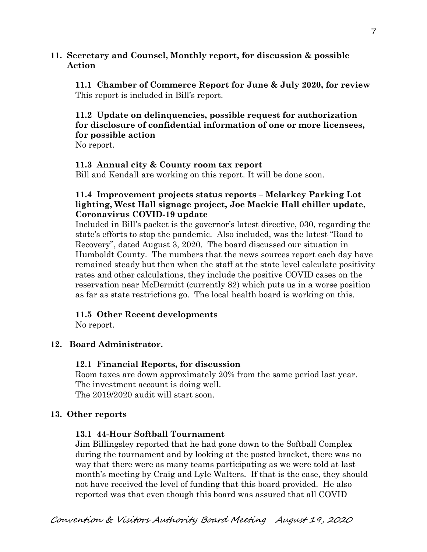#### **11. Secretary and Counsel, Monthly report, for discussion & possible Action**

 **11.1 Chamber of Commerce Report for June & July 2020, for review** This report is included in Bill's report.

### **11.2 Update on delinquencies, possible request for authorization for disclosure of confidential information of one or more licensees, for possible action**

No report.

#### **11.3 Annual city & County room tax report**

Bill and Kendall are working on this report. It will be done soon.

### **11.4 Improvement projects status reports – Melarkey Parking Lot lighting, West Hall signage project, Joe Mackie Hall chiller update, Coronavirus COVID-19 update**

Included in Bill's packet is the governor's latest directive, 030, regarding the state's efforts to stop the pandemic. Also included, was the latest "Road to Recovery", dated August 3, 2020. The board discussed our situation in Humboldt County. The numbers that the news sources report each day have remained steady but then when the staff at the state level calculate positivity rates and other calculations, they include the positive COVID cases on the reservation near McDermitt (currently 82) which puts us in a worse position as far as state restrictions go. The local health board is working on this.

### **11.5 Other Recent developments**

No report.

### **12. Board Administrator.**

### **12.1 Financial Reports, for discussion**

Room taxes are down approximately 20% from the same period last year. The investment account is doing well. The 2019/2020 audit will start soon.

#### **13. Other reports**

### **13.1 44-Hour Softball Tournament**

Jim Billingsley reported that he had gone down to the Softball Complex during the tournament and by looking at the posted bracket, there was no way that there were as many teams participating as we were told at last month's meeting by Craig and Lyle Walters. If that is the case, they should not have received the level of funding that this board provided. He also reported was that even though this board was assured that all COVID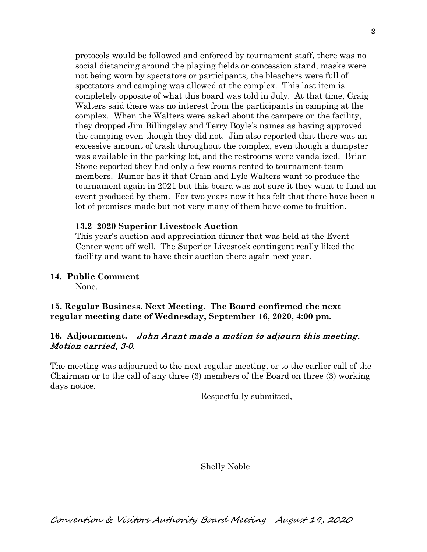protocols would be followed and enforced by tournament staff, there was no social distancing around the playing fields or concession stand, masks were not being worn by spectators or participants, the bleachers were full of spectators and camping was allowed at the complex. This last item is completely opposite of what this board was told in July. At that time, Craig Walters said there was no interest from the participants in camping at the complex. When the Walters were asked about the campers on the facility, they dropped Jim Billingsley and Terry Boyle's names as having approved the camping even though they did not. Jim also reported that there was an excessive amount of trash throughout the complex, even though a dumpster was available in the parking lot, and the restrooms were vandalized. Brian Stone reported they had only a few rooms rented to tournament team members. Rumor has it that Crain and Lyle Walters want to produce the tournament again in 2021 but this board was not sure it they want to fund an event produced by them. For two years now it has felt that there have been a lot of promises made but not very many of them have come to fruition.

### **13.2 2020 Superior Livestock Auction**

This year's auction and appreciation dinner that was held at the Event Center went off well. The Superior Livestock contingent really liked the facility and want to have their auction there again next year.

1**4. Public Comment**

None.

**15. Regular Business. Next Meeting. The Board confirmed the next regular meeting date of Wednesday, September 16, 2020, 4:00 pm.** 

### **16. Adjournment.** John Arant made a motion to adjourn this meeting. Motion carried, 3-0.

The meeting was adjourned to the next regular meeting, or to the earlier call of the Chairman or to the call of any three (3) members of the Board on three (3) working days notice.

Respectfully submitted,

Shelly Noble